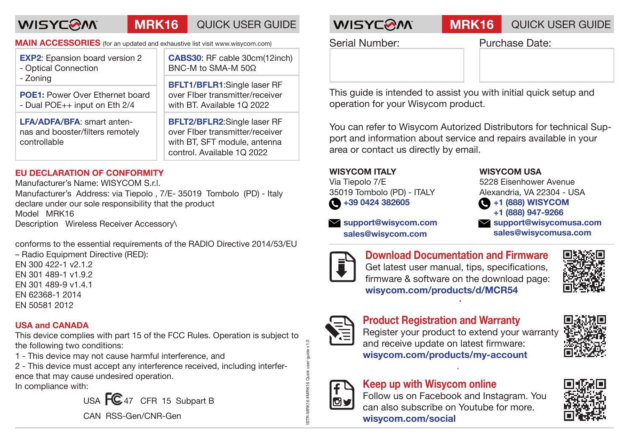### **WISYCOM MRK16** QUICK USER GUIDE **WISYCOM MRK16** QUICK USER GUIDE

**MAIN ACCESSORIES** (for an updated and exhaustive list visit www.wisycom.com)

| <b>EXP2:</b> Epansion board version 2<br>- Optical Connection<br>- Zoning             | <b>CABS30:</b> RF cable 30cm(12inch)<br>BNC-M to SMA-M 50Ω                                                                                                                                            |
|---------------------------------------------------------------------------------------|-------------------------------------------------------------------------------------------------------------------------------------------------------------------------------------------------------|
|                                                                                       | <b>BFLT1/BFLR1:</b> Single laser RF                                                                                                                                                                   |
| <b>POE1:</b> Power Over Ethernet board<br>- Dual POE++ input on Eth 2/4               | over Flber transmitter/receiver<br>with BT. Available 1Q 2022<br><b>BFLT2/BFLR2:</b> Single laser RF<br>over Flber transmitter/receiver<br>with BT, SFT module, antenna<br>control. Available 1Q 2022 |
| <b>LFA/ADFA/BFA:</b> smart anten-<br>nas and booster/filters remotely<br>controllable |                                                                                                                                                                                                       |

### **EU DECLARATION OF CONFORMITY**

Manufacturer's Name: WISYCOM S.r.l. Manufacturer's Address: via Tiepolo , 7/E- 35019 Tombolo (PD) - Italy declare under our sole responsibility that the product Model MRK16 Description Wireless Receiver Accessory\

conforms to the essential requirements of the RADIO Directive 2014/53/EU

– Radio Equipment Directive (RED): EN 300 422-1 v2.1.2 EN 301 489-1 v1.9.2 EN 301 489-9 v1.4.1 EN 62368-1 2014 EN 50581 2012

### **USA and CANADA**

This device complies with part 15 of the FCC Rules. Operation is subject to the following two conditions:

1 - This device may not cause harmful interference, and

2 - This device must accept any interference received, including interference that may cause undesired operation.

In compliance with:

USA  $FC_{47}$  CFR 15 Subpart B

CAN RSS-Gen/CNR-Gen

Serial Number: Purchase Date:

This guide is intended to assist you with initial quick setup and operation for your Wisycom product.

You can refer to Wisycom Autorized Distributors for technical Support and information about service and repairs available in your area or contact us directly by email.

### **WISYCOM ITALY**

Via Tiepolo 7/E 35019 Tombolo (PD) - ITALY  $\bigcirc$  +39 0424 382605

 **support@wisycom.com sales@wisycom.com**

### **WISYCOM USA**

5228 Eisenhower Avenue Alexandria, VA 22304 - USA **+1 (888) WISYCOM**

 **+1 (888) 947-9266**

 **support@wisycomusa.com sales@wisycomusa.com**



**Download Documentation and Firmware** Get latest user manual, tips, specifications, firmware & software on the download page: **wisycom.com/products/d/MCR54**





ISTR-MRK16 #MRK16 Quick user guide v1.0

## **Product Registration and Warranty**

Register your product to extend your warranty and receive update on latest firmware: **wisycom.com/products/my-account**



# **Keep up with Wisycom online** ਗ਼ਜ਼

Follow us on Facebook and Instagram. You can also subscribe on Youtube for more. **wisycom.com/social**